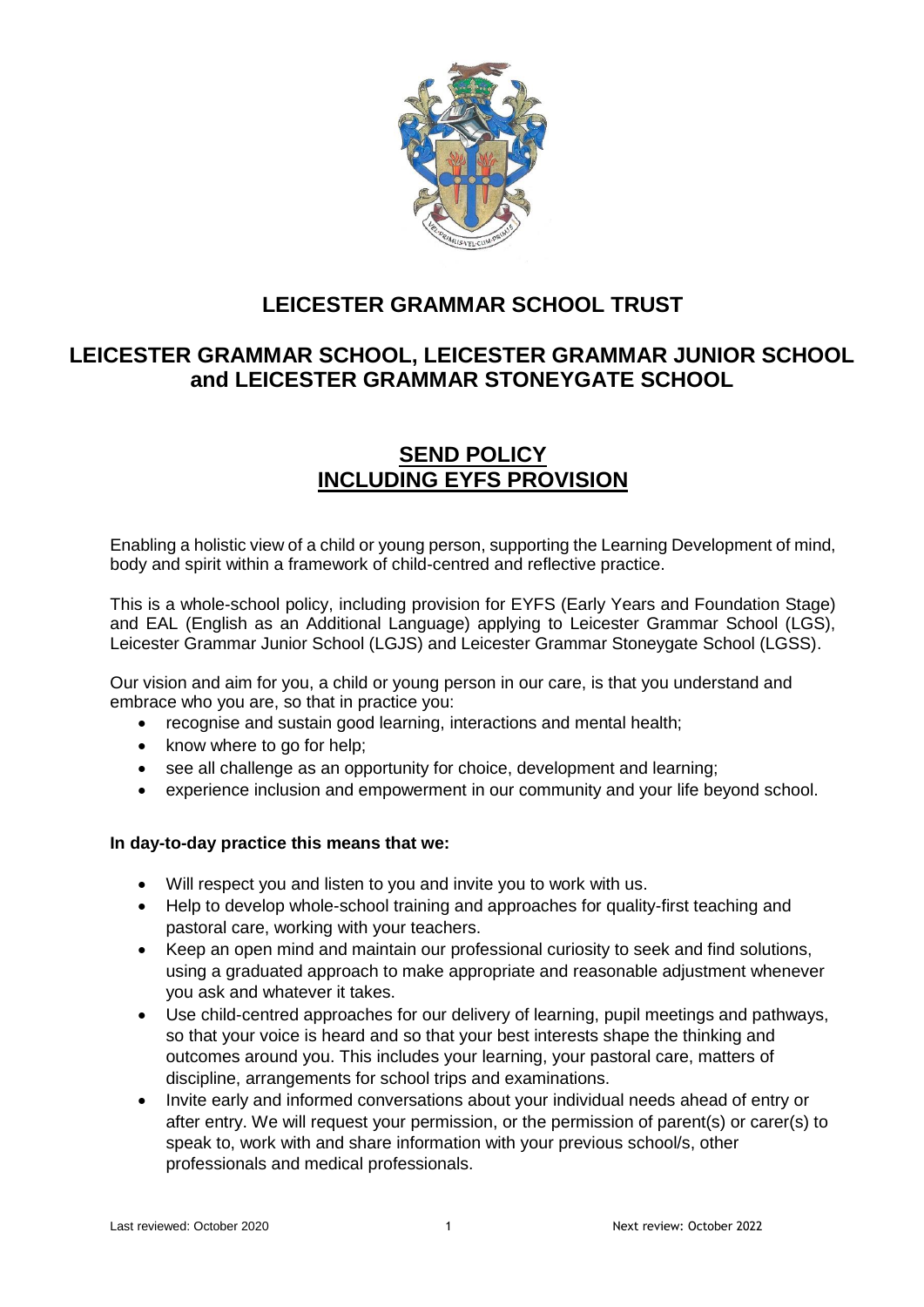

# **LEICESTER GRAMMAR SCHOOL TRUST**

# **LEICESTER GRAMMAR SCHOOL, LEICESTER GRAMMAR JUNIOR SCHOOL and LEICESTER GRAMMAR STONEYGATE SCHOOL**

## **SEND POLICY INCLUDING EYFS PROVISION**

Enabling a holistic view of a child or young person, supporting the Learning Development of mind, body and spirit within a framework of child-centred and reflective practice.

This is a whole-school policy, including provision for EYFS (Early Years and Foundation Stage) and EAL (English as an Additional Language) applying to Leicester Grammar School (LGS), Leicester Grammar Junior School (LGJS) and Leicester Grammar Stoneygate School (LGSS).

Our vision and aim for you, a child or young person in our care, is that you understand and embrace who you are, so that in practice you:

- recognise and sustain good learning, interactions and mental health;
- know where to go for help;
- see all challenge as an opportunity for choice, development and learning;
- experience inclusion and empowerment in our community and your life beyond school.

## **In day-to-day practice this means that we:**

- Will respect you and listen to you and invite you to work with us.
- Help to develop whole-school training and approaches for quality-first teaching and pastoral care, working with your teachers.
- Keep an open mind and maintain our professional curiosity to seek and find solutions, using a graduated approach to make appropriate and reasonable adjustment whenever you ask and whatever it takes.
- Use child-centred approaches for our delivery of learning, pupil meetings and pathways, so that your voice is heard and so that your best interests shape the thinking and outcomes around you. This includes your learning, your pastoral care, matters of discipline, arrangements for school trips and examinations.
- Invite early and informed conversations about your individual needs ahead of entry or after entry. We will request your permission, or the permission of parent(s) or carer(s) to speak to, work with and share information with your previous school/s, other professionals and medical professionals.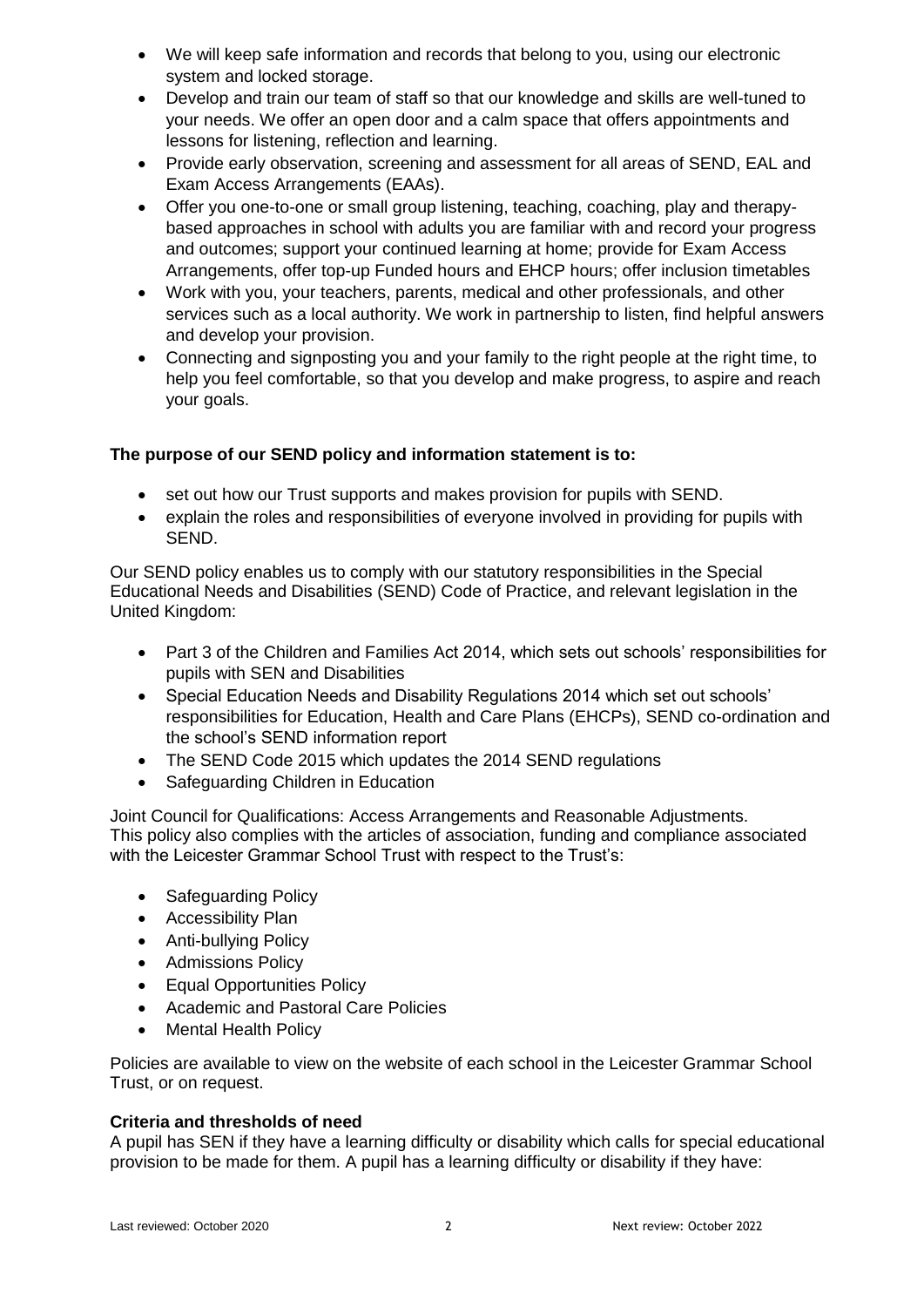- We will keep safe information and records that belong to you, using our electronic system and locked storage.
- Develop and train our team of staff so that our knowledge and skills are well-tuned to your needs. We offer an open door and a calm space that offers appointments and lessons for listening, reflection and learning.
- Provide early observation, screening and assessment for all areas of SEND, EAL and Exam Access Arrangements (EAAs).
- Offer you one-to-one or small group listening, teaching, coaching, play and therapybased approaches in school with adults you are familiar with and record your progress and outcomes; support your continued learning at home; provide for Exam Access Arrangements, offer top-up Funded hours and EHCP hours; offer inclusion timetables
- Work with you, your teachers, parents, medical and other professionals, and other services such as a local authority. We work in partnership to listen, find helpful answers and develop your provision.
- Connecting and signposting you and your family to the right people at the right time, to help you feel comfortable, so that you develop and make progress, to aspire and reach your goals.

## **The purpose of our SEND policy and information statement is to:**

- set out how our Trust supports and makes provision for pupils with SEND.
- explain the roles and responsibilities of everyone involved in providing for pupils with SEND.

Our SEND policy enables us to comply with our statutory responsibilities in the Special Educational Needs and Disabilities (SEND) Code of Practice, and relevant legislation in the United Kingdom:

- Part 3 of the Children and Families Act 2014, which sets out schools' responsibilities for pupils with SEN and Disabilities
- Special Education Needs and Disability Regulations 2014 which set out schools' responsibilities for Education, Health and Care Plans (EHCPs), SEND co-ordination and the school's SEND information report
- The SEND Code 2015 which updates the 2014 SEND regulations
- Safeguarding Children in Education

Joint Council for Qualifications: Access Arrangements and Reasonable Adjustments. This policy also complies with the articles of association, funding and compliance associated with the Leicester Grammar School Trust with respect to the Trust's:

- Safeguarding Policy
- Accessibility Plan
- Anti-bullying Policy
- Admissions Policy
- Equal Opportunities Policy
- Academic and Pastoral Care Policies
- Mental Health Policy

Policies are available to view on the website of each school in the Leicester Grammar School Trust, or on request.

## **Criteria and thresholds of need**

A pupil has SEN if they have a learning difficulty or disability which calls for special educational provision to be made for them. A pupil has a learning difficulty or disability if they have: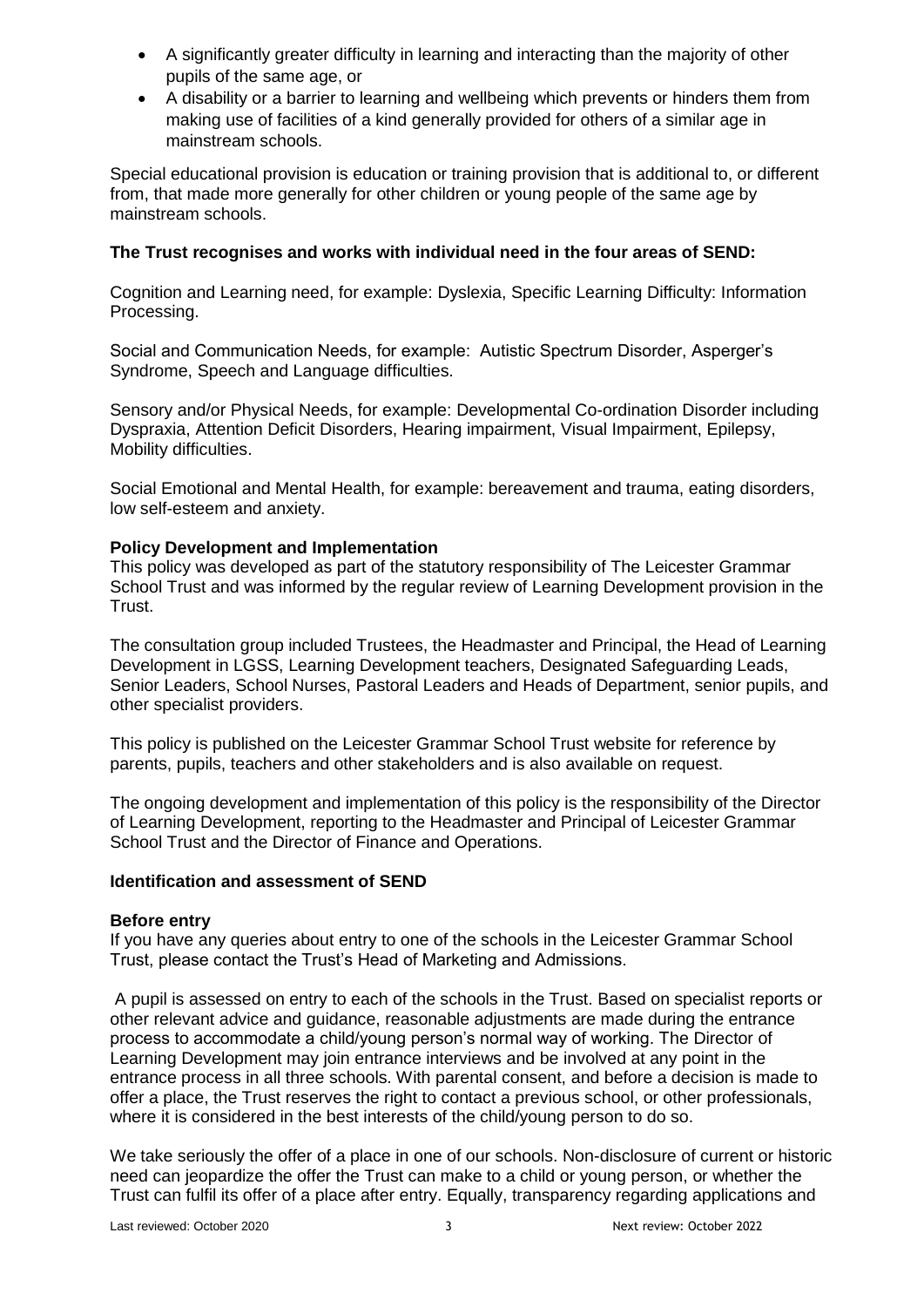- A significantly greater difficulty in learning and interacting than the majority of other pupils of the same age, or
- A disability or a barrier to learning and wellbeing which prevents or hinders them from making use of facilities of a kind generally provided for others of a similar age in mainstream schools.

Special educational provision is education or training provision that is additional to, or different from, that made more generally for other children or young people of the same age by mainstream schools.

## **The Trust recognises and works with individual need in the four areas of SEND:**

Cognition and Learning need, for example: Dyslexia, Specific Learning Difficulty: Information Processing.

Social and Communication Needs, for example: Autistic Spectrum Disorder, Asperger's Syndrome, Speech and Language difficulties.

Sensory and/or Physical Needs, for example: Developmental Co-ordination Disorder including Dyspraxia, Attention Deficit Disorders, Hearing impairment, Visual Impairment, Epilepsy, Mobility difficulties.

Social Emotional and Mental Health, for example: bereavement and trauma, eating disorders, low self-esteem and anxiety.

## **Policy Development and Implementation**

This policy was developed as part of the statutory responsibility of The Leicester Grammar School Trust and was informed by the regular review of Learning Development provision in the Trust.

The consultation group included Trustees, the Headmaster and Principal, the Head of Learning Development in LGSS, Learning Development teachers, Designated Safeguarding Leads, Senior Leaders, School Nurses, Pastoral Leaders and Heads of Department, senior pupils, and other specialist providers.

This policy is published on the Leicester Grammar School Trust website for reference by parents, pupils, teachers and other stakeholders and is also available on request.

The ongoing development and implementation of this policy is the responsibility of the Director of Learning Development, reporting to the Headmaster and Principal of Leicester Grammar School Trust and the Director of Finance and Operations.

#### **Identification and assessment of SEND**

#### **Before entry**

If you have any queries about entry to one of the schools in the Leicester Grammar School Trust, please contact the Trust's Head of Marketing and Admissions.

A pupil is assessed on entry to each of the schools in the Trust. Based on specialist reports or other relevant advice and guidance, reasonable adjustments are made during the entrance process to accommodate a child/young person's normal way of working. The Director of Learning Development may join entrance interviews and be involved at any point in the entrance process in all three schools. With parental consent, and before a decision is made to offer a place, the Trust reserves the right to contact a previous school, or other professionals, where it is considered in the best interests of the child/young person to do so.

We take seriously the offer of a place in one of our schools. Non-disclosure of current or historic need can jeopardize the offer the Trust can make to a child or young person, or whether the Trust can fulfil its offer of a place after entry. Equally, transparency regarding applications and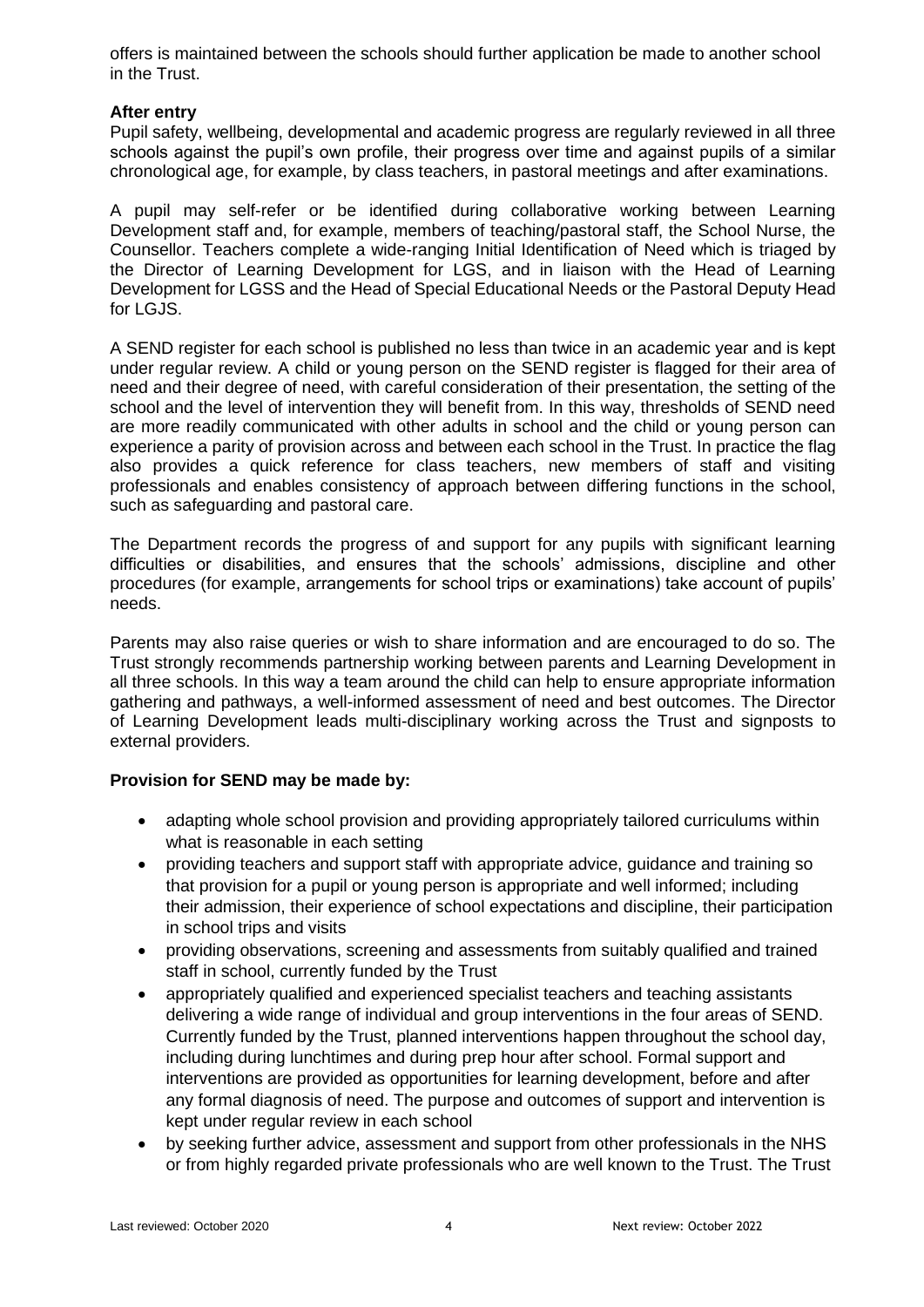offers is maintained between the schools should further application be made to another school in the Trust.

#### **After entry**

Pupil safety, wellbeing, developmental and academic progress are regularly reviewed in all three schools against the pupil's own profile, their progress over time and against pupils of a similar chronological age, for example, by class teachers, in pastoral meetings and after examinations.

A pupil may self-refer or be identified during collaborative working between Learning Development staff and, for example, members of teaching/pastoral staff, the School Nurse, the Counsellor. Teachers complete a wide-ranging Initial Identification of Need which is triaged by the Director of Learning Development for LGS, and in liaison with the Head of Learning Development for LGSS and the Head of Special Educational Needs or the Pastoral Deputy Head for LGJS.

A SEND register for each school is published no less than twice in an academic year and is kept under regular review. A child or young person on the SEND register is flagged for their area of need and their degree of need, with careful consideration of their presentation, the setting of the school and the level of intervention they will benefit from. In this way, thresholds of SEND need are more readily communicated with other adults in school and the child or young person can experience a parity of provision across and between each school in the Trust. In practice the flag also provides a quick reference for class teachers, new members of staff and visiting professionals and enables consistency of approach between differing functions in the school, such as safeguarding and pastoral care.

The Department records the progress of and support for any pupils with significant learning difficulties or disabilities, and ensures that the schools' admissions, discipline and other procedures (for example, arrangements for school trips or examinations) take account of pupils' needs.

Parents may also raise queries or wish to share information and are encouraged to do so. The Trust strongly recommends partnership working between parents and Learning Development in all three schools. In this way a team around the child can help to ensure appropriate information gathering and pathways, a well-informed assessment of need and best outcomes. The Director of Learning Development leads multi-disciplinary working across the Trust and signposts to external providers.

## **Provision for SEND may be made by:**

- adapting whole school provision and providing appropriately tailored curriculums within what is reasonable in each setting
- providing teachers and support staff with appropriate advice, guidance and training so that provision for a pupil or young person is appropriate and well informed; including their admission, their experience of school expectations and discipline, their participation in school trips and visits
- providing observations, screening and assessments from suitably qualified and trained staff in school, currently funded by the Trust
- appropriately qualified and experienced specialist teachers and teaching assistants delivering a wide range of individual and group interventions in the four areas of SEND. Currently funded by the Trust, planned interventions happen throughout the school day, including during lunchtimes and during prep hour after school. Formal support and interventions are provided as opportunities for learning development, before and after any formal diagnosis of need. The purpose and outcomes of support and intervention is kept under regular review in each school
- by seeking further advice, assessment and support from other professionals in the NHS or from highly regarded private professionals who are well known to the Trust. The Trust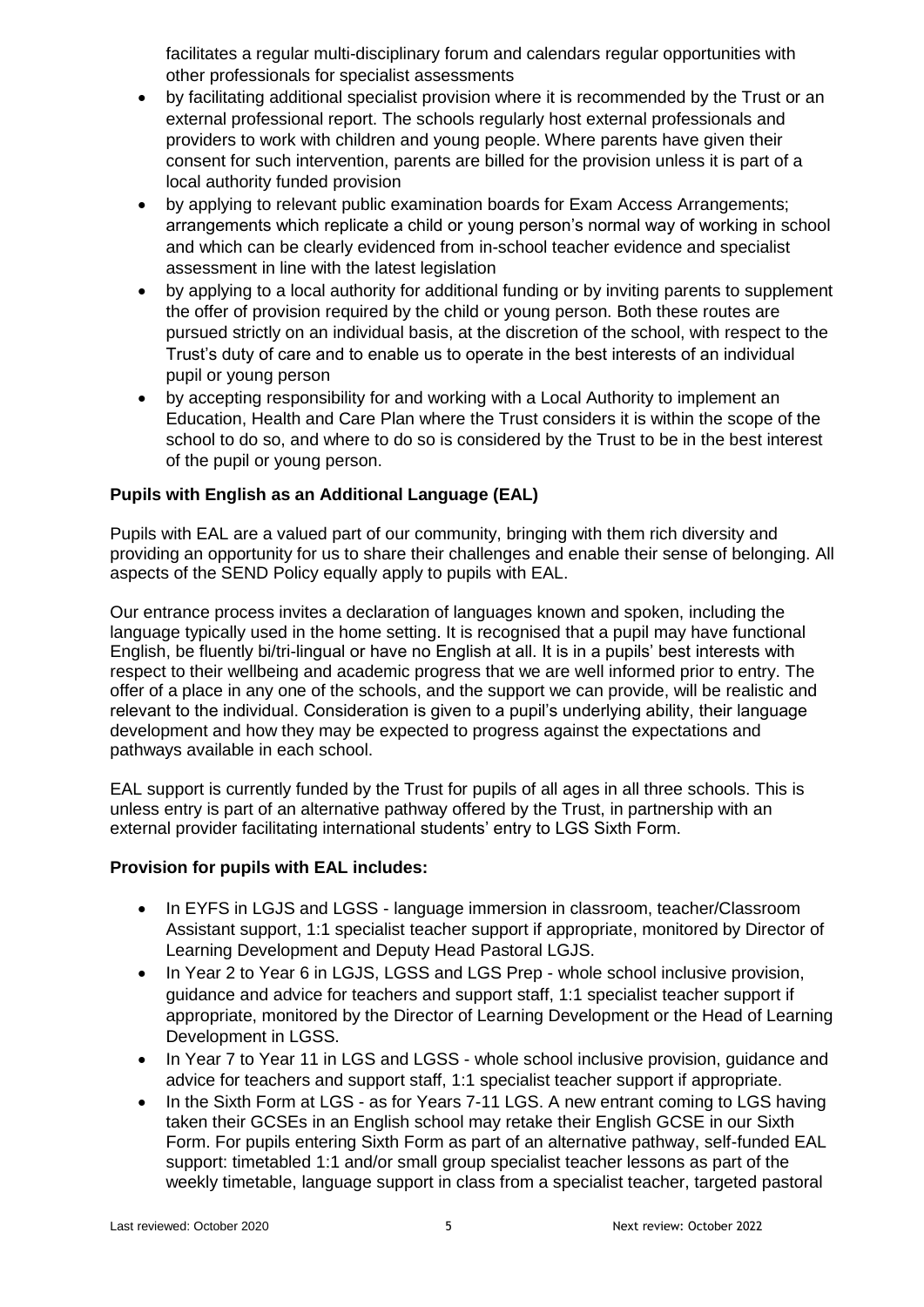facilitates a regular multi-disciplinary forum and calendars regular opportunities with other professionals for specialist assessments

- by facilitating additional specialist provision where it is recommended by the Trust or an external professional report. The schools regularly host external professionals and providers to work with children and young people. Where parents have given their consent for such intervention, parents are billed for the provision unless it is part of a local authority funded provision
- by applying to relevant public examination boards for Exam Access Arrangements; arrangements which replicate a child or young person's normal way of working in school and which can be clearly evidenced from in-school teacher evidence and specialist assessment in line with the latest legislation
- by applying to a local authority for additional funding or by inviting parents to supplement the offer of provision required by the child or young person. Both these routes are pursued strictly on an individual basis, at the discretion of the school, with respect to the Trust's duty of care and to enable us to operate in the best interests of an individual pupil or young person
- by accepting responsibility for and working with a Local Authority to implement an Education, Health and Care Plan where the Trust considers it is within the scope of the school to do so, and where to do so is considered by the Trust to be in the best interest of the pupil or young person.

## **Pupils with English as an Additional Language (EAL)**

Pupils with EAL are a valued part of our community, bringing with them rich diversity and providing an opportunity for us to share their challenges and enable their sense of belonging. All aspects of the SEND Policy equally apply to pupils with EAL.

Our entrance process invites a declaration of languages known and spoken, including the language typically used in the home setting. It is recognised that a pupil may have functional English, be fluently bi/tri-lingual or have no English at all. It is in a pupils' best interests with respect to their wellbeing and academic progress that we are well informed prior to entry. The offer of a place in any one of the schools, and the support we can provide, will be realistic and relevant to the individual. Consideration is given to a pupil's underlying ability, their language development and how they may be expected to progress against the expectations and pathways available in each school.

EAL support is currently funded by the Trust for pupils of all ages in all three schools. This is unless entry is part of an alternative pathway offered by the Trust, in partnership with an external provider facilitating international students' entry to LGS Sixth Form.

## **Provision for pupils with EAL includes:**

- In EYFS in LGJS and LGSS language immersion in classroom, teacher/Classroom Assistant support, 1:1 specialist teacher support if appropriate, monitored by Director of Learning Development and Deputy Head Pastoral LGJS.
- In Year 2 to Year 6 in LGJS, LGSS and LGS Prep whole school inclusive provision, guidance and advice for teachers and support staff, 1:1 specialist teacher support if appropriate, monitored by the Director of Learning Development or the Head of Learning Development in LGSS.
- In Year 7 to Year 11 in LGS and LGSS whole school inclusive provision, guidance and advice for teachers and support staff, 1:1 specialist teacher support if appropriate.
- In the Sixth Form at LGS as for Years 7-11 LGS. A new entrant coming to LGS having taken their GCSEs in an English school may retake their English GCSE in our Sixth Form. For pupils entering Sixth Form as part of an alternative pathway, self-funded EAL support: timetabled 1:1 and/or small group specialist teacher lessons as part of the weekly timetable, language support in class from a specialist teacher, targeted pastoral